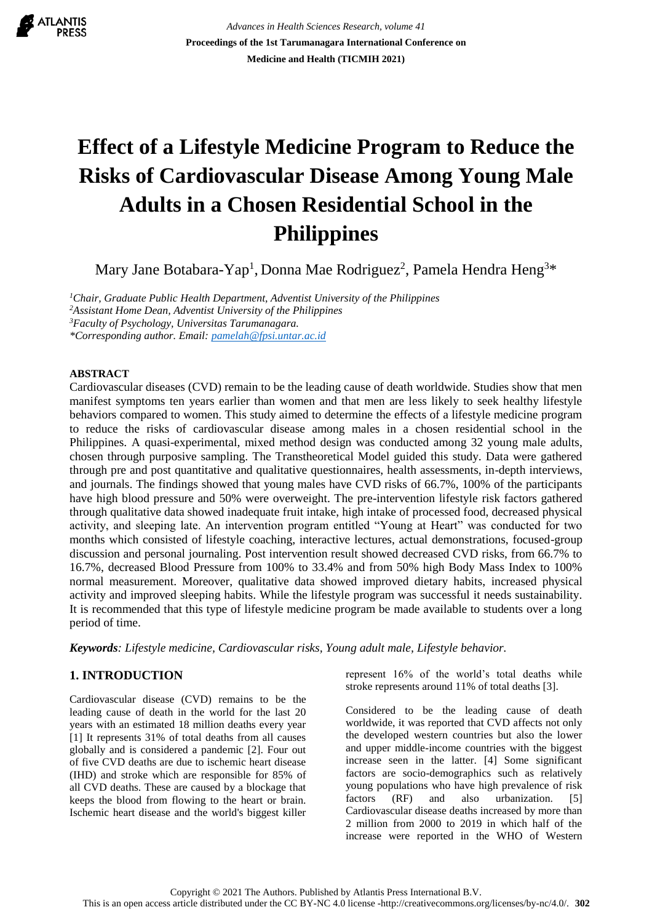ATLANTIS

*Advances in Health Sciences Research, volume 41* **Proceedings of the 1st Tarumanagara International Conference on Medicine and Health (TICMIH 2021)**

# **Effect of a Lifestyle Medicine Program to Reduce the Risks of Cardiovascular Disease Among Young Male Adults in a Chosen Residential School in the Philippines**

Mary Jane Botabara-Yap<sup>1</sup>, Donna Mae Rodriguez<sup>2</sup>, Pamela Hendra Heng<sup>3\*</sup>

*Chair, Graduate Public Health Department, Adventist University of the Philippines Assistant Home Dean, Adventist University of the Philippines Faculty of Psychology, Universitas Tarumanagara. \*Corresponding author. Email: [pamelah@fpsi.untar.ac.id](mailto:pamelah@fpsi.untar.ac.id)*

## **ABSTRACT**

Cardiovascular diseases (CVD) remain to be the leading cause of death worldwide. Studies show that men manifest symptoms ten years earlier than women and that men are less likely to seek healthy lifestyle behaviors compared to women. This study aimed to determine the effects of a lifestyle medicine program to reduce the risks of cardiovascular disease among males in a chosen residential school in the Philippines. A quasi-experimental, mixed method design was conducted among 32 young male adults, chosen through purposive sampling. The Transtheoretical Model guided this study. Data were gathered through pre and post quantitative and qualitative questionnaires, health assessments, in-depth interviews, and journals. The findings showed that young males have CVD risks of 66.7%, 100% of the participants have high blood pressure and 50% were overweight. The pre-intervention lifestyle risk factors gathered through qualitative data showed inadequate fruit intake, high intake of processed food, decreased physical activity, and sleeping late. An intervention program entitled "Young at Heart" was conducted for two months which consisted of lifestyle coaching, interactive lectures, actual demonstrations, focused-group discussion and personal journaling. Post intervention result showed decreased CVD risks, from 66.7% to 16.7%, decreased Blood Pressure from 100% to 33.4% and from 50% high Body Mass Index to 100% normal measurement. Moreover, qualitative data showed improved dietary habits, increased physical activity and improved sleeping habits. While the lifestyle program was successful it needs sustainability. It is recommended that this type of lifestyle medicine program be made available to students over a long period of time.

*Keywords: Lifestyle medicine, Cardiovascular risks, Young adult male, Lifestyle behavior.*

# **1. INTRODUCTION**

Cardiovascular disease (CVD) remains to be the leading cause of death in the world for the last 20 years with an estimated 18 million deaths every year [1] It represents 31% of total deaths from all causes globally and is considered a pandemic [2]. Four out of five CVD deaths are due to ischemic heart disease (IHD) and stroke which are responsible for 85% of all CVD deaths. These are caused by a blockage that keeps the blood from flowing to the heart or brain. Ischemic heart disease and the world's biggest killer represent 16% of the world's total deaths while stroke represents around 11% of total deaths [3].

Considered to be the leading cause of death worldwide, it was reported that CVD affects not only the developed western countries but also the lower and upper middle-income countries with the biggest increase seen in the latter. [4] Some significant factors are socio-demographics such as relatively young populations who have high prevalence of risk factors (RF) and also urbanization. [5] Cardiovascular disease deaths increased by more than 2 million from 2000 to 2019 in which half of the increase were reported in the WHO of Western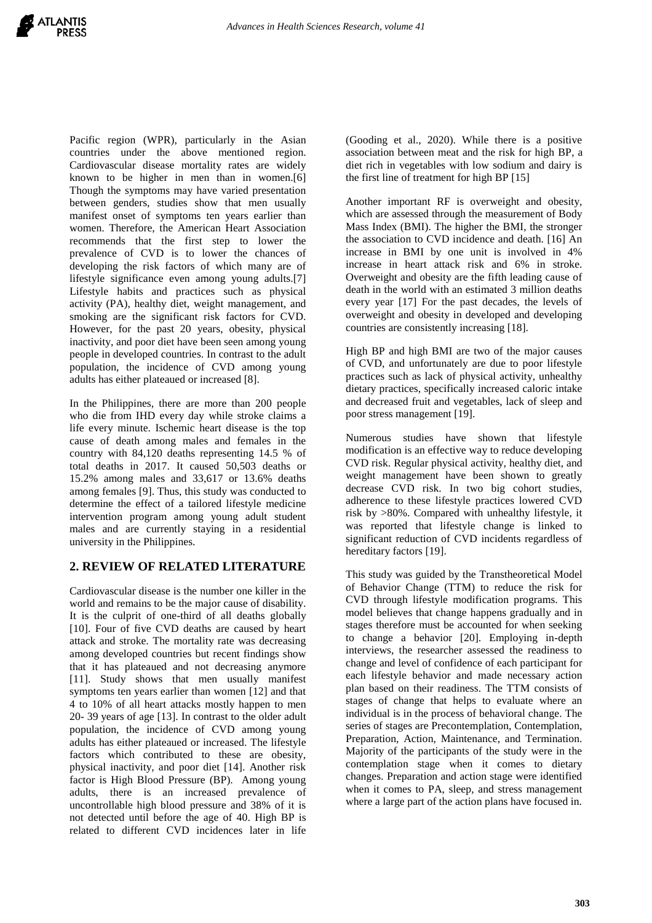Pacific region (WPR), particularly in the Asian countries under the above mentioned region. Cardiovascular disease mortality rates are widely known to be higher in men than in women.[6] Though the symptoms may have varied presentation between genders, studies show that men usually manifest onset of symptoms ten years earlier than women. Therefore, the American Heart Association recommends that the first step to lower the prevalence of CVD is to lower the chances of developing the risk factors of which many are of lifestyle significance even among young adults.[7] Lifestyle habits and practices such as physical activity (PA), healthy diet, weight management, and smoking are the significant risk factors for CVD. However, for the past 20 years, obesity, physical inactivity, and poor diet have been seen among young people in developed countries. In contrast to the adult population, the incidence of CVD among young adults has either plateaued or increased [8].

In the Philippines, there are more than 200 people who die from IHD every day while stroke claims a life every minute. Ischemic heart disease is the top cause of death among males and females in the country with 84,120 deaths representing 14.5 % of total deaths in 2017. It caused 50,503 deaths or 15.2% among males and 33,617 or 13.6% deaths among females [9]. Thus, this study was conducted to determine the effect of a tailored lifestyle medicine intervention program among young adult student males and are currently staying in a residential university in the Philippines.

# **2. REVIEW OF RELATED LITERATURE**

Cardiovascular disease is the number one killer in the world and remains to be the major cause of disability. It is the culprit of one-third of all deaths globally [10]. Four of five CVD deaths are caused by heart attack and stroke. The mortality rate was decreasing among developed countries but recent findings show that it has plateaued and not decreasing anymore [11]. Study shows that men usually manifest symptoms ten years earlier than women [12] and that 4 to 10% of all heart attacks mostly happen to men 20- 39 years of age [13]. In contrast to the older adult population, the incidence of CVD among young adults has either plateaued or increased. The lifestyle factors which contributed to these are obesity, physical inactivity, and poor diet [14]. Another risk factor is High Blood Pressure (BP). Among young adults, there is an increased prevalence of uncontrollable high blood pressure and 38% of it is not detected until before the age of 40. High BP is related to different CVD incidences later in life

(Gooding et al., 2020). While there is a positive association between meat and the risk for high BP, a diet rich in vegetables with low sodium and dairy is the first line of treatment for high BP [15]

Another important RF is overweight and obesity, which are assessed through the measurement of Body Mass Index (BMI). The higher the BMI, the stronger the association to CVD incidence and death. [16] An increase in BMI by one unit is involved in 4% increase in heart attack risk and 6% in stroke. Overweight and obesity are the fifth leading cause of death in the world with an estimated 3 million deaths every year [17] For the past decades, the levels of overweight and obesity in developed and developing countries are consistently increasing [18].

High BP and high BMI are two of the major causes of CVD, and unfortunately are due to poor lifestyle practices such as lack of physical activity, unhealthy dietary practices, specifically increased caloric intake and decreased fruit and vegetables, lack of sleep and poor stress management [19].

Numerous studies have shown that lifestyle modification is an effective way to reduce developing CVD risk. Regular physical activity, healthy diet, and weight management have been shown to greatly decrease CVD risk. In two big cohort studies, adherence to these lifestyle practices lowered CVD risk by >80%. Compared with unhealthy lifestyle, it was reported that lifestyle change is linked to significant reduction of CVD incidents regardless of hereditary factors [19].

This study was guided by the Transtheoretical Model of Behavior Change (TTM) to reduce the risk for CVD through lifestyle modification programs. This model believes that change happens gradually and in stages therefore must be accounted for when seeking to change a behavior [20]. Employing in-depth interviews, the researcher assessed the readiness to change and level of confidence of each participant for each lifestyle behavior and made necessary action plan based on their readiness. The TTM consists of stages of change that helps to evaluate where an individual is in the process of behavioral change. The series of stages are Precontemplation, Contemplation, Preparation, Action, Maintenance, and Termination. Majority of the participants of the study were in the contemplation stage when it comes to dietary changes. Preparation and action stage were identified when it comes to PA, sleep, and stress management where a large part of the action plans have focused in.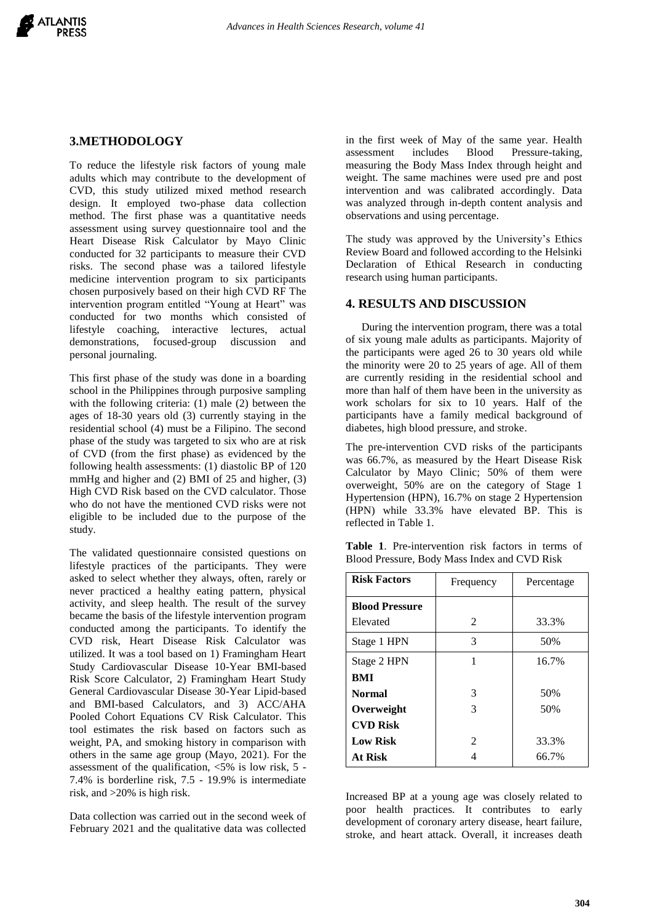#### **3.METHODOLOGY**

To reduce the lifestyle risk factors of young male adults which may contribute to the development of CVD, this study utilized mixed method research design. It employed two-phase data collection method. The first phase was a quantitative needs assessment using survey questionnaire tool and the Heart Disease Risk Calculator by Mayo Clinic conducted for 32 participants to measure their CVD risks. The second phase was a tailored lifestyle medicine intervention program to six participants chosen purposively based on their high CVD RF The intervention program entitled "Young at Heart" was conducted for two months which consisted of lifestyle coaching, interactive lectures, actual demonstrations, focused-group discussion and personal journaling.

This first phase of the study was done in a boarding school in the Philippines through purposive sampling with the following criteria: (1) male (2) between the ages of 18-30 years old (3) currently staying in the residential school (4) must be a Filipino. The second phase of the study was targeted to six who are at risk of CVD (from the first phase) as evidenced by the following health assessments: (1) diastolic BP of 120 mmHg and higher and (2) BMI of 25 and higher, (3) High CVD Risk based on the CVD calculator. Those who do not have the mentioned CVD risks were not eligible to be included due to the purpose of the study.

The validated questionnaire consisted questions on lifestyle practices of the participants. They were asked to select whether they always, often, rarely or never practiced a healthy eating pattern, physical activity, and sleep health. The result of the survey became the basis of the lifestyle intervention program conducted among the participants. To identify the CVD risk, Heart Disease Risk Calculator was utilized. It was a tool based on 1) Framingham Heart Study Cardiovascular Disease 10-Year BMI-based Risk Score Calculator, 2) Framingham Heart Study General Cardiovascular Disease 30-Year Lipid-based and BMI-based Calculators, and 3) ACC/AHA Pooled Cohort Equations CV Risk Calculator. This tool estimates the risk based on factors such as weight, PA, and smoking history in comparison with others in the same age group (Mayo, 2021). For the assessment of the qualification,  $\langle 5\% \rangle$  is low risk, 5 -7.4% is borderline risk, 7.5 - 19.9% is intermediate risk, and >20% is high risk.

Data collection was carried out in the second week of February 2021 and the qualitative data was collected in the first week of May of the same year. Health assessment includes Blood Pressure-taking, measuring the Body Mass Index through height and weight. The same machines were used pre and post intervention and was calibrated accordingly. Data was analyzed through in-depth content analysis and observations and using percentage.

The study was approved by the University's Ethics Review Board and followed according to the Helsinki Declaration of Ethical Research in conducting research using human participants.

#### **4. RESULTS AND DISCUSSION**

During the intervention program, there was a total of six young male adults as participants. Majority of the participants were aged 26 to 30 years old while the minority were 20 to 25 years of age. All of them are currently residing in the residential school and more than half of them have been in the university as work scholars for six to 10 years. Half of the participants have a family medical background of diabetes, high blood pressure, and stroke.

The pre-intervention CVD risks of the participants was 66.7%, as measured by the Heart Disease Risk Calculator by Mayo Clinic; 50% of them were overweight, 50% are on the category of Stage 1 Hypertension (HPN), 16.7% on stage 2 Hypertension (HPN) while 33.3% have elevated BP. This is reflected in Table 1.

**Table 1**. Pre-intervention risk factors in terms of Blood Pressure, Body Mass Index and CVD Risk

| <b>Risk Factors</b>   | Frequency      | Percentage |
|-----------------------|----------------|------------|
| <b>Blood Pressure</b> |                |            |
| Elevated              | $\mathfrak{D}$ | 33.3%      |
| Stage 1 HPN           | 3              | 50%        |
| Stage 2 HPN           | 1              | 16.7%      |
| <b>BMI</b>            |                |            |
| <b>Normal</b>         | 3              | 50%        |
| Overweight            | 3              | 50%        |
| <b>CVD Risk</b>       |                |            |
| <b>Low Risk</b>       | $\mathfrak{D}$ | 33.3%      |
| <b>At Risk</b>        |                | 66.7%      |

Increased BP at a young age was closely related to poor health practices. It contributes to early development of coronary artery disease, heart failure, stroke, and heart attack. Overall, it increases death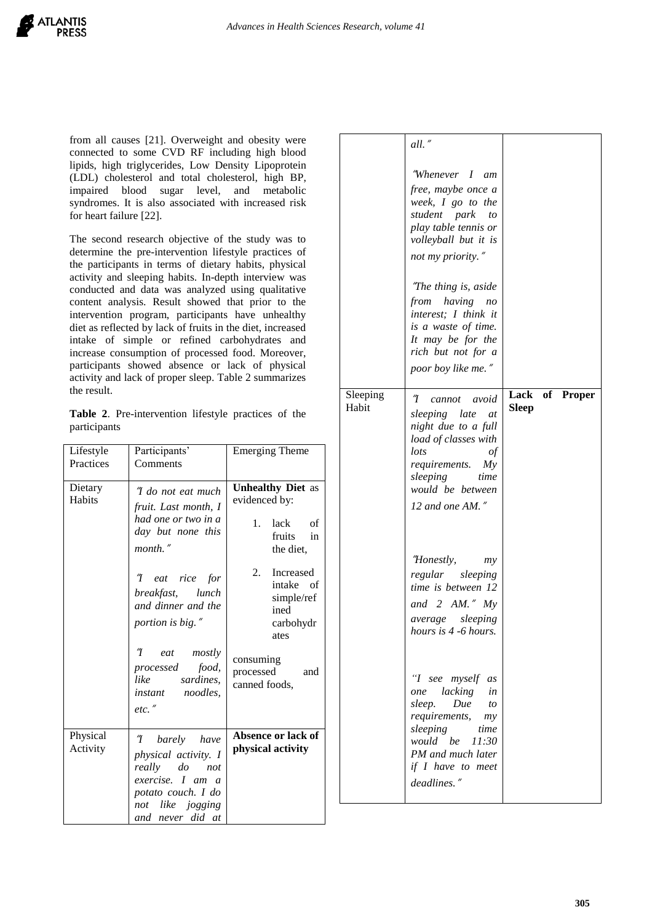from all causes [21]. Overweight and obesity were connected to some CVD RF including high blood lipids, high triglycerides, Low Density Lipoprotein (LDL) cholesterol and total cholesterol, high BP, impaired blood sugar level, and metabolic syndromes. It is also associated with increased risk for heart failure [22].

The second research objective of the study was to determine the pre-intervention lifestyle practices of the participants in terms of dietary habits, physical activity and sleeping habits. In-depth interview was conducted and data was analyzed using qualitative content analysis. Result showed that prior to the intervention program, participants have unhealthy diet as reflected by lack of fruits in the diet, increased intake of simple or refined carbohydrates and increase consumption of processed food. Moreover, participants showed absence or lack of physical activity and lack of proper sleep. Table 2 summarizes the result.

**Table 2**. Pre-intervention lifestyle practices of the participants

| Lifestyle<br>Practices | Participants'<br>Comments                                                                                                                 | <b>Emerging Theme</b>                                                                                                |
|------------------------|-------------------------------------------------------------------------------------------------------------------------------------------|----------------------------------------------------------------------------------------------------------------------|
| Dietary<br>Habits      | ''I do not eat much<br>fruit. Last month, I<br>had one or two in a<br>day but none this<br>$month.$ "                                     | <b>Unhealthy Diet as</b><br>evidenced by:<br>1.<br>lack<br>of<br>fruits<br>in<br>the diet,<br><b>Increased</b><br>2. |
|                        | "I eat rice for<br>breakfast, lunch<br>and dinner and the<br>portion is big."                                                             | intake of<br>simple/ref<br>ined<br>carbohydr<br>ates                                                                 |
|                        | "I eat mostly<br>processed food,<br>like sardines,<br><i>instant noodles</i> ,<br>$etc.$ "                                                | consuming<br>processed and<br>canned foods,                                                                          |
| Physical<br>Activity   | "I barely have<br>physical activity. I<br>really do not<br>exercise. I am a<br>potato couch. I do<br>not like jogging<br>and never did at | Absence or lack of<br>physical activity                                                                              |

|                   | all."<br>"Whenever I am<br>free, maybe once a                                                                                                                                                       |              |                |
|-------------------|-----------------------------------------------------------------------------------------------------------------------------------------------------------------------------------------------------|--------------|----------------|
|                   | week, I go to the<br>student park<br>to<br>play table tennis or<br>volleyball but it is                                                                                                             |              |                |
|                   | not my priority."<br>"The thing is, aside<br>from having no<br>interest; I think it                                                                                                                 |              |                |
|                   | is a waste of time.<br>It may be for the<br>rich but not for a<br>poor boy like me."                                                                                                                |              |                |
| Sleeping<br>Habit | Ί<br>avoid<br>cannot<br>sleeping late<br>at<br>night due to a full<br>load of classes with<br>lots<br>$\mathfrak{g}$<br>requirements. My<br>sleeping<br>time<br>would be between<br>12 and one AM." | <b>Sleep</b> | Lack of Proper |
|                   | "Honestly,<br>my<br>regular<br>sleeping<br>time is between 12<br>and $2$ AM." My<br>sleeping<br>average<br>hours is 4 -6 hours.                                                                     |              |                |
|                   | "I see myself<br>as<br>one lacking<br>in<br>Due<br>sleep.<br>to<br>requirements,<br>my<br>sleeping<br>time<br>would be<br>11:30<br>PM and much later<br>if I have to meet<br>deadlines."            |              |                |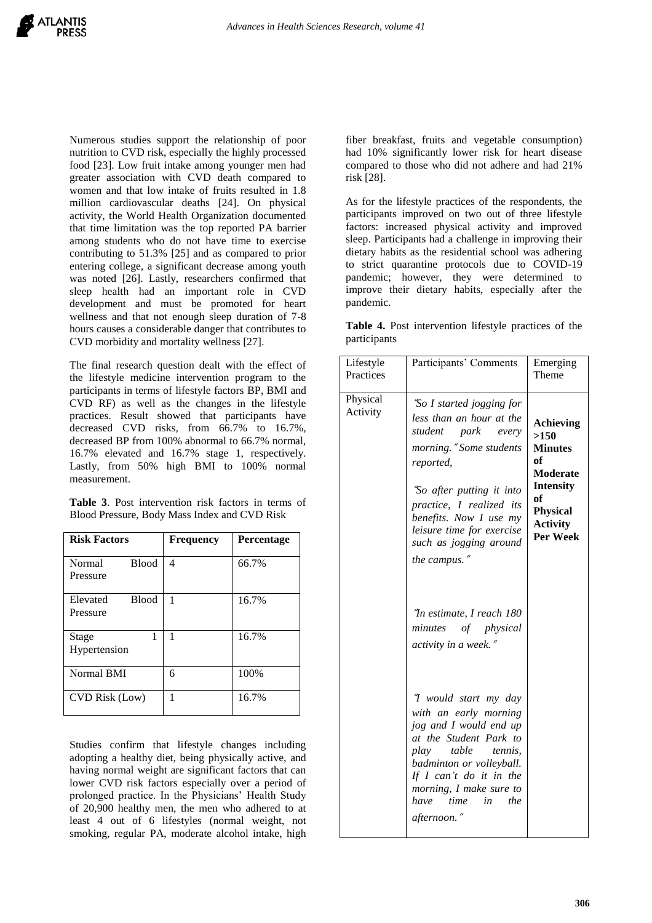Numerous studies support the relationship of poor nutrition to CVD risk, especially the highly processed food [23]. Low fruit intake among younger men had greater association with CVD death compared to women and that low intake of fruits resulted in 1.8 million cardiovascular deaths [24]. On physical activity, the World Health Organization documented that time limitation was the top reported PA barrier among students who do not have time to exercise contributing to 51.3% [25] and as compared to prior entering college, a significant decrease among youth was noted [26]. Lastly, researchers confirmed that sleep health had an important role in CVD development and must be promoted for heart wellness and that not enough sleep duration of 7-8 hours causes a considerable danger that contributes to CVD morbidity and mortality wellness [27].

The final research question dealt with the effect of the lifestyle medicine intervention program to the participants in terms of lifestyle factors BP, BMI and CVD RF) as well as the changes in the lifestyle practices. Result showed that participants have decreased CVD risks, from 66.7% to 16.7%, decreased BP from 100% abnormal to 66.7% normal, 16.7% elevated and 16.7% stage 1, respectively. Lastly, from 50% high BMI to 100% normal measurement.

**Table 3**. Post intervention risk factors in terms of Blood Pressure, Body Mass Index and CVD Risk

| <b>Risk Factors</b>                  | <b>Frequency</b> | <b>Percentage</b> |
|--------------------------------------|------------------|-------------------|
| Normal<br><b>Blood</b><br>Pressure   | 4                | 66.7%             |
| <b>Blood</b><br>Elevated<br>Pressure | 1                | 16.7%             |
| 1<br>Stage<br>Hypertension           | 1                | 16.7%             |
| Normal BMI                           | 6                | 100%              |
| CVD Risk (Low)                       | 1                | 16.7%             |

Studies confirm that lifestyle changes including adopting a healthy diet, being physically active, and having normal weight are significant factors that can lower CVD risk factors especially over a period of prolonged practice. In the Physicians' Health Study of 20,900 healthy men, the men who adhered to at least 4 out of 6 lifestyles (normal weight, not smoking, regular PA, moderate alcohol intake, high

fiber breakfast, fruits and vegetable consumption) had 10% significantly lower risk for heart disease compared to those who did not adhere and had 21% risk [28].

As for the lifestyle practices of the respondents, the participants improved on two out of three lifestyle factors: increased physical activity and improved sleep. Participants had a challenge in improving their dietary habits as the residential school was adhering to strict quarantine protocols due to COVID-19 pandemic; however, they were determined to improve their dietary habits, especially after the pandemic.

**Table 4.** Post intervention lifestyle practices of the participants

| Lifestyle<br>Practices | Participants' Comments                                                                                                                                                                                                                                                              | Emerging<br>Theme                                                                                                                               |
|------------------------|-------------------------------------------------------------------------------------------------------------------------------------------------------------------------------------------------------------------------------------------------------------------------------------|-------------------------------------------------------------------------------------------------------------------------------------------------|
| Physical<br>Activity   | "So I started jogging for<br>less than an hour at the<br>student<br>park<br>every<br>morning." Some students<br>reported,<br>"So after putting it into<br>practice, I realized its<br>benefits. Now I use my<br>leisure time for exercise<br>such as jogging around<br>the campus." | <b>Achieving</b><br>>150<br><b>Minutes</b><br>of<br><b>Moderate</b><br><b>Intensity</b><br>of<br><b>Physical</b><br><b>Activity</b><br>Per Week |
|                        | "In estimate, I reach 180<br>minutes of physical<br><i>activity in a week.</i> "                                                                                                                                                                                                    |                                                                                                                                                 |
|                        | "I would start my day<br>with an early morning<br>jog and I would end up<br>at the Student Park to<br>table tennis,<br>play<br>badminton or volleyball.<br>If I can't do it in the<br>morning, I make sure to<br>have<br><i>time</i><br>in<br>the<br>afternoon.                     |                                                                                                                                                 |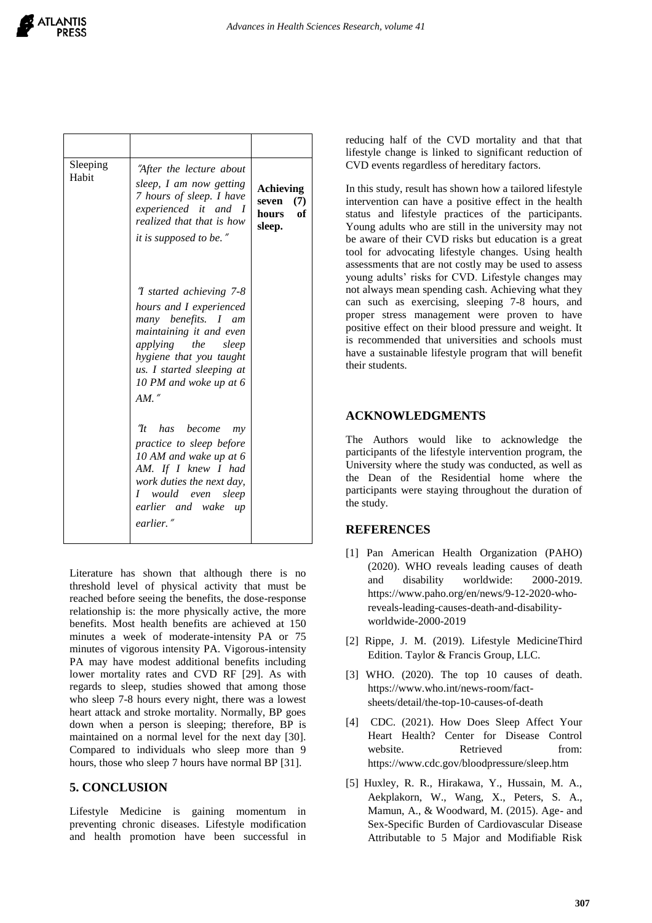| Sleeping<br>Habit | "After the lecture about<br>sleep, I am now getting<br>7 hours of sleep. I have<br>experienced it and I<br>realized that that is how<br><i>it is supposed to be.</i> "                                                                   | Achieving<br>seven<br>(7)<br>of<br>hours<br>sleep. |
|-------------------|------------------------------------------------------------------------------------------------------------------------------------------------------------------------------------------------------------------------------------------|----------------------------------------------------|
|                   | <i>T</i> started achieving 7-8<br>hours and I experienced<br>many benefits. I am<br>maintaining it and even<br><i>applying</i> the<br>sleep<br>hygiene that you taught<br>us. I started sleeping at<br>10 PM and woke up at 6<br>$AM.$ " |                                                    |
|                   | "It<br>has become<br>my<br><i>practice to sleep before</i><br>10 AM and wake up at 6<br>AM. If I knew I had<br>work duties the next day,<br>I would even<br>sleep<br>earlier and wake<br>$\mu$<br>earlier."                              |                                                    |

Literature has shown that although there is no threshold level of physical activity that must be reached before seeing the benefits, the dose-response relationship is: the more physically active, the more benefits. Most health benefits are achieved at 150 minutes a week of moderate-intensity PA or 75 minutes of vigorous intensity PA. Vigorous-intensity PA may have modest additional benefits including lower mortality rates and CVD RF [29]. As with regards to sleep, studies showed that among those who sleep 7-8 hours every night, there was a lowest heart attack and stroke mortality. Normally, BP goes down when a person is sleeping; therefore, BP is maintained on a normal level for the next day [30]. Compared to individuals who sleep more than 9 hours, those who sleep 7 hours have normal BP [31].

# **5. CONCLUSION**

Lifestyle Medicine is gaining momentum in preventing chronic diseases. Lifestyle modification and health promotion have been successful in

reducing half of the CVD mortality and that that lifestyle change is linked to significant reduction of CVD events regardless of hereditary factors.

In this study, result has shown how a tailored lifestyle intervention can have a positive effect in the health status and lifestyle practices of the participants. Young adults who are still in the university may not be aware of their CVD risks but education is a great tool for advocating lifestyle changes. Using health assessments that are not costly may be used to assess young adults' risks for CVD. Lifestyle changes may not always mean spending cash. Achieving what they can such as exercising, sleeping 7-8 hours, and proper stress management were proven to have positive effect on their blood pressure and weight. It is recommended that universities and schools must have a sustainable lifestyle program that will benefit their students.

## **ACKNOWLEDGMENTS**

The Authors would like to acknowledge the participants of the lifestyle intervention program, the University where the study was conducted, as well as the Dean of the Residential home where the participants were staying throughout the duration of the study.

## **REFERENCES**

- [1] Pan American Health Organization (PAHO) (2020). WHO reveals leading causes of death and disability worldwide: 2000-2019. [https://www.paho.org/en/news/9-12-2020-who](https://www.paho.org/en/news/9-12-2020-who-reveals-leading-causes-death-and-disability-worldwide-2000-2019)[reveals-leading-causes-death-and-disability](https://www.paho.org/en/news/9-12-2020-who-reveals-leading-causes-death-and-disability-worldwide-2000-2019)[worldwide-2000-2019](https://www.paho.org/en/news/9-12-2020-who-reveals-leading-causes-death-and-disability-worldwide-2000-2019)
- [2] Rippe, J. M. (2019). Lifestyle MedicineThird Edition. Taylor & Francis Group, LLC.
- [3] WHO. (2020). The top 10 causes of death. [https://www.who.int/news-room/fact](https://www.who.int/news-room/fact-sheets/detail/the-top-10-causes-of-death)[sheets/detail/the-top-10-causes-of-death](https://www.who.int/news-room/fact-sheets/detail/the-top-10-causes-of-death)
- [4] CDC. (2021). How Does Sleep Affect Your Heart Health? Center for Disease Control website. Retrieved from: https://www.cdc.gov/bloodpressure/sleep.htm
- [5] Huxley, R. R., Hirakawa, Y., Hussain, M. A., Aekplakorn, W., Wang, X., Peters, S. A., Mamun, A., & Woodward, M. (2015). Age- and Sex-Specific Burden of Cardiovascular Disease Attributable to 5 Major and Modifiable Risk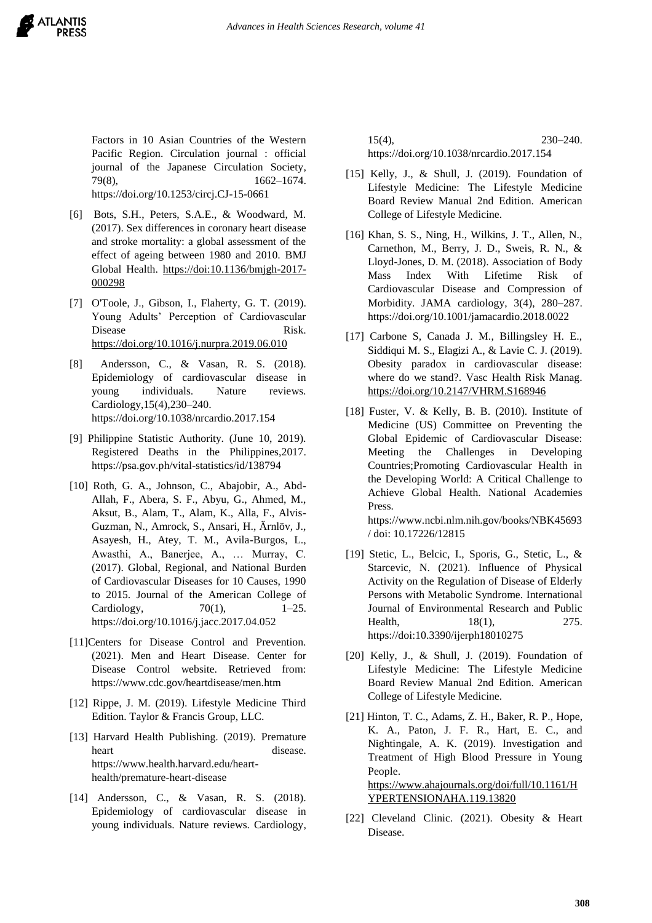Factors in 10 Asian Countries of the Western Pacific Region. Circulation journal : official journal of the Japanese Circulation Society, 79(8), 1662–1674. <https://doi.org/10.1253/circj.CJ-15-0661>

[6] Bots, S.H., Peters, S.A.E., & Woodward, M. (2017). Sex differences in coronary heart disease and stroke mortality: a global assessment of the effect of ageing between 1980 and 2010. BMJ Global Health. [https://doi:10.1136/bmjgh-2017-](https://doi:10.1136/bmjgh-2017-%20000298) [000298](https://doi:10.1136/bmjgh-2017-%20000298)

- [7] [O'Toole, J., Gibson, I., Flaherty,](https://www.sciencedirect.com/science/article/abs/pii/S1555415519301758#!) G. T. (2019). Young Adults' Perception of Cardiovascular Disease Risk. <https://doi.org/10.1016/j.nurpra.2019.06.010>
- [8] Andersson, C., & Vasan, R. S. (2018). Epidemiology of cardiovascular disease in young individuals. Nature reviews. Cardiology,15(4),230–240. <https://doi.org/10.1038/nrcardio.2017.154>
- [9] Philippine Statistic Authority. (June 10, 2019). Registered Deaths in the Philippines,2017. <https://psa.gov.ph/vital-statistics/id/138794>
- [10] Roth, G. A., Johnson, C., Abajobir, A., Abd-Allah, F., Abera, S. F., Abyu, G., Ahmed, M., Aksut, B., Alam, T., Alam, K., Alla, F., Alvis-Guzman, N., Amrock, S., Ansari, H., Ärnlöv, J., Asayesh, H., Atey, T. M., Avila-Burgos, L., Awasthi, A., Banerjee, A., … Murray, C. (2017). Global, Regional, and National Burden of Cardiovascular Diseases for 10 Causes, 1990 to 2015. Journal of the American College of Cardiology,  $70(1)$ ,  $1-25$ . <https://doi.org/10.1016/j.jacc.2017.04.052>
- [11]Centers for Disease Control and Prevention. (2021). Men and Heart Disease. Center for Disease Control website. Retrieved from: https://www.cdc.gov/heartdisease/men.htm
- [12] Rippe, J. M. (2019). Lifestyle Medicine Third Edition. Taylor & Francis Group, LLC.
- [13] Harvard Health Publishing. (2019). Premature heart disease. [https://www.health.harvard.edu/heart](https://www.health.harvard.edu/heart-health/premature-heart-disease)[health/premature-heart-disease](https://www.health.harvard.edu/heart-health/premature-heart-disease)
- [14] Andersson, C., & Vasan, R. S. (2018). Epidemiology of cardiovascular disease in young individuals. Nature reviews. Cardiology,

15(4), 230–240. <https://doi.org/10.1038/nrcardio.2017.154>

- [15] Kelly, J., & Shull, J. (2019). Foundation of Lifestyle Medicine: The Lifestyle Medicine Board Review Manual 2nd Edition. American College of Lifestyle Medicine.
- [16] Khan, S. S., Ning, H., Wilkins, J. T., Allen, N., Carnethon, M., Berry, J. D., Sweis, R. N., & Lloyd-Jones, D. M. (2018). Association of Body Mass Index With Lifetime Risk of Cardiovascular Disease and Compression of Morbidity. JAMA cardiology, 3(4), 280–287. <https://doi.org/10.1001/jamacardio.2018.0022>
- [17] Carbone S, Canada J. M., Billingsley H. E., Siddiqui M. S., Elagizi A., & Lavie C. J. (2019). Obesity paradox in cardiovascular disease: where do we stand?. Vasc Health Risk Manag. <https://doi.org/10.2147/VHRM.S168946>
- [18] Fuster, V. & Kelly, B. B. (2010). Institute of Medicine (US) Committee on Preventing the Global Epidemic of Cardiovascular Disease: Meeting the Challenges in Developing Countries;Promoting Cardiovascular Health in the Developing World: A Critical Challenge to Achieve Global Health. National Academies Press. https://www.ncbi.nlm.nih.gov/books/NBK45693 / doi: 10.17226/12815
- [19] Stetic, L., Belcic, I., Sporis, G., Stetic, L., & Starcevic, N. (2021). Influence of Physical Activity on the Regulation of Disease of Elderly Persons with Metabolic Syndrome. International Journal of Environmental Research and Public Health, 18(1), 275. [https://doi:10.3390/ijerph18010275](about:blank)
- [20] Kelly, J., & Shull, J. (2019). Foundation of Lifestyle Medicine: The Lifestyle Medicine Board Review Manual 2nd Edition. American College of Lifestyle Medicine.
- [21] [Hinton,](https://www.ahajournals.org/doi/full/10.1161/HYPERTENSIONAHA.119.13820) T. C., [Adams,](https://www.ahajournals.org/doi/full/10.1161/HYPERTENSIONAHA.119.13820) Z. H., [Baker,](https://www.ahajournals.org/doi/full/10.1161/HYPERTENSIONAHA.119.13820) R. P., [Hope,](https://www.ahajournals.org/doi/full/10.1161/HYPERTENSIONAHA.119.13820) K. A., [Paton,](https://www.ahajournals.org/doi/full/10.1161/HYPERTENSIONAHA.119.13820) J. F. R., [Hart,](https://www.ahajournals.org/doi/full/10.1161/HYPERTENSIONAHA.119.13820) E. C., and [Nightingale,](https://www.ahajournals.org/doi/full/10.1161/HYPERTENSIONAHA.119.13820) A. K. (2019). Investigation and Treatment of High Blood Pressure in Young People. [https://www.ahajournals.org/doi/full/10.1161/H](https://www.ahajournals.org/doi/full/10.1161/HYPERTENSIONAHA.119.13820) [YPERTENSIONAHA.119.13820](https://www.ahajournals.org/doi/full/10.1161/HYPERTENSIONAHA.119.13820)
- [22] Cleveland Clinic. (2021). Obesity & Heart Disease.